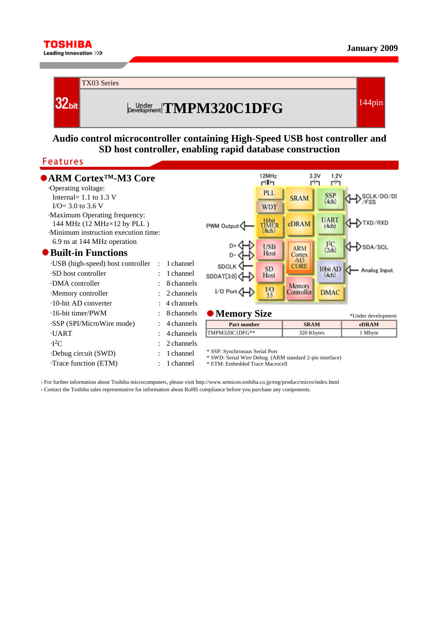



## **Audio control microcontroller containing High-Speed USB host controller and SD host controller, enabling rapid database construction**

## **Features**

**TOSHIBA** Leading Innovation >>>

| $\bullet$ ARM Cortex <sup>TM</sup> -M3 Core<br>Operating voltage:          |              |            |                                                                                                                              | 12MHz<br>dih   | 3.3V<br>г'n       | 1.2V<br>r'n            |                    |
|----------------------------------------------------------------------------|--------------|------------|------------------------------------------------------------------------------------------------------------------------------|----------------|-------------------|------------------------|--------------------|
| Internal = $1.1$ to $1.3$ V                                                |              |            |                                                                                                                              | <b>PLL</b>     | <b>SRAM</b>       | SSP <sub>(4ch)</sub>   | SCLK/DO/DI         |
| $I/O = 3.0$ to 3.6 V                                                       |              |            |                                                                                                                              | <b>WDT</b>     |                   |                        |                    |
| Maximum Operating frequency:                                               |              |            |                                                                                                                              | 16bit<br>TIMER |                   | <b>UART</b>            | TXD/RXD            |
| 144 MHz $(12 MHz \times 12 by PLL)$<br>Minimum instruction execution time: |              |            | PWM Output                                                                                                                   | (8ch)          | eDRAM             | (4ch)                  |                    |
| 6.9 ns at 144 MHz operation                                                |              |            |                                                                                                                              |                |                   |                        |                    |
| $\bullet$ Built-in Functions                                               |              |            |                                                                                                                              | <b>USB</b>     | <b>ARM</b>        | $I2C$ <sub>(2ch)</sub> | >sda/scl           |
|                                                                            |              |            |                                                                                                                              | Host           | Cortex<br>$-M3$   |                        |                    |
| ·USB (high-speed) host controller                                          | ÷            | 1 channel  | <b>SDCLK</b>                                                                                                                 | <b>SD</b>      | <b>CORE</b>       | 10bit AD               |                    |
| .SD host controller                                                        |              | 1 channel  | SDDAT[3:0]                                                                                                                   | Host           |                   | (4ch)                  | Analog Input       |
| DMA controller                                                             |              | 8 channels |                                                                                                                              |                | Memory            |                        |                    |
| Memory controller                                                          | ÷.           | 2 channels | I/O Port                                                                                                                     | $\frac{1}{55}$ | <b>Controller</b> | <b>DMAC</b>            |                    |
| $\cdot$ 10-bit AD converter                                                |              | 4 channels |                                                                                                                              |                |                   |                        |                    |
| $\cdot$ 16-bit timer/PWM                                                   | $\mathbf{L}$ | 8 channels | $\bullet$ Memory Size                                                                                                        |                |                   |                        | *Under development |
| SSP (SPI/MicroWire mode)                                                   |              | 4 channels | <b>Part number</b>                                                                                                           |                | <b>SRAM</b>       |                        | eDRAM              |
| <b>UART</b>                                                                | ٠            | 4 channels | TMPM320C1DFG**                                                                                                               |                | 320 Kbytes        |                        | 1 Mbyte            |
| $-I2C$                                                                     |              | 2 channels |                                                                                                                              |                |                   |                        |                    |
| Debug circuit (SWD)                                                        |              | 1 channel  | * SSP: Synchronous Serial Port<br>* SWD: Serial Wire Debug (ARM standard 2-pin interface)<br>* ETM: Embedded Trace Macrocell |                |                   |                        |                    |
| Trace function (ETM)                                                       |              | 1 channel  |                                                                                                                              |                |                   |                        |                    |

› For further information about Toshiba microcomputers, please visit http://www.semicon.toshiba.co.jp/eng/product/micro/index.html › Contact the Toshiba sales representative for information about RoHS compliance before you purchase any components.